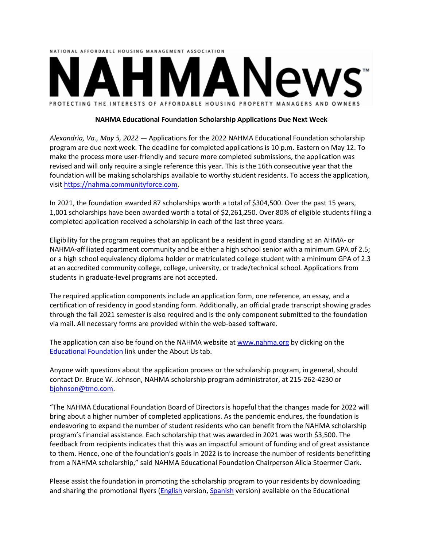

## **NAHMA Educational Foundation Scholarship Applications Due Next Week**

*Alexandria, Va., May 5, 2022 ―* Applications for the 2022 NAHMA Educational Foundation scholarship program are due next week. The deadline for completed applications is 10 p.m. Eastern on May 12. To make the process more user-friendly and secure more completed submissions, the application was revised and will only require a single reference this year. This is the 16th consecutive year that the foundation will be making scholarships available to worthy student residents. To access the application, visit [https://nahma.communityforce.com.](https://nahma.communityforce.com/)

In 2021, the foundation awarded 87 scholarships worth a total of \$304,500. Over the past 15 years, 1,001 scholarships have been awarded worth a total of \$2,261,250. Over 80% of eligible students filing a completed application received a scholarship in each of the last three years.

Eligibility for the program requires that an applicant be a resident in good standing at an AHMA- or NAHMA-affiliated apartment community and be either a high school senior with a minimum GPA of 2.5; or a high school equivalency diploma holder or matriculated college student with a minimum GPA of 2.3 at an accredited community college, college, university, or trade/technical school. Applications from students in graduate-level programs are not accepted.

The required application components include an application form, one reference, an essay, and a certification of residency in good standing form. Additionally, an official grade transcript showing grades through the fall 2021 semester is also required and is the only component submitted to the foundation via mail. All necessary forms are provided within the web-based software.

The application can also be found on the NAHMA website at [www.nahma.org](http://www.nahma.org/) by clicking on the [Educational Foundation](https://www.nahma.org/about/educational-foundation/) link under the About Us tab.

Anyone with questions about the application process or the scholarship program, in general, should contact Dr. Bruce W. Johnson, NAHMA scholarship program administrator, at 215-262-4230 or [bjohnson@tmo.com.](mailto:bjohnson@tmo.com)

"The NAHMA Educational Foundation Board of Directors is hopeful that the changes made for 2022 will bring about a higher number of completed applications. As the pandemic endures, the foundation is endeavoring to expand the number of student residents who can benefit from the NAHMA scholarship program's financial assistance. Each scholarship that was awarded in 2021 was worth \$3,500. The feedback from recipients indicates that this was an impactful amount of funding and of great assistance to them. Hence, one of the foundation's goals in 2022 is to increase the number of residents benefitting from a NAHMA scholarship," said NAHMA Educational Foundation Chairperson Alicia Stoermer Clark.

Please assist the foundation in promoting the scholarship program to your residents by downloading and sharing the promotional flyers [\(English](https://www.nahma.org/wp-content/uploads/2022/01/NAHMA-Educational-Foundation-Resident-Flyer-2022.pdf) version, [Spanish](https://www.nahma.org/wp-content/uploads/2022/01/NAHMA-Educational-Foundation-Resident-Flyer-in-Spanish-2022.pdf) version) available on the Educational